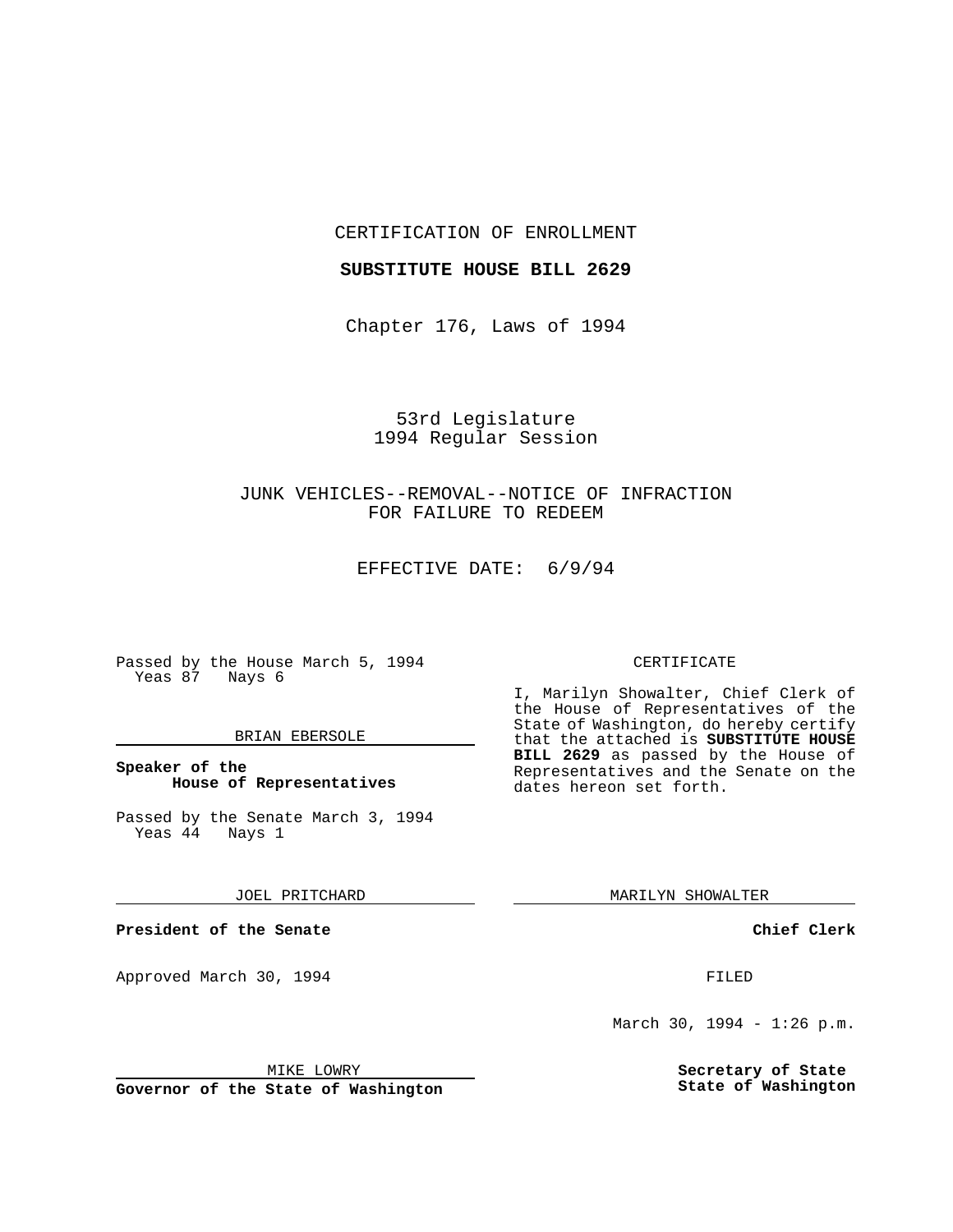### CERTIFICATION OF ENROLLMENT

#### **SUBSTITUTE HOUSE BILL 2629**

Chapter 176, Laws of 1994

## 53rd Legislature 1994 Regular Session

# JUNK VEHICLES--REMOVAL--NOTICE OF INFRACTION FOR FAILURE TO REDEEM

EFFECTIVE DATE: 6/9/94

Passed by the House March 5, 1994 Yeas 87 Nays 6

### BRIAN EBERSOLE

### **Speaker of the House of Representatives**

Passed by the Senate March 3, 1994<br>Yeas 44 Nays 1 Yeas 44

JOEL PRITCHARD

**President of the Senate**

Approved March 30, 1994 **FILED** 

### CERTIFICATE

I, Marilyn Showalter, Chief Clerk of the House of Representatives of the State of Washington, do hereby certify that the attached is **SUBSTITUTE HOUSE BILL 2629** as passed by the House of Representatives and the Senate on the dates hereon set forth.

MARILYN SHOWALTER

**Chief Clerk**

March 30, 1994 - 1:26 p.m.

**Secretary of State State of Washington**

MIKE LOWRY

**Governor of the State of Washington**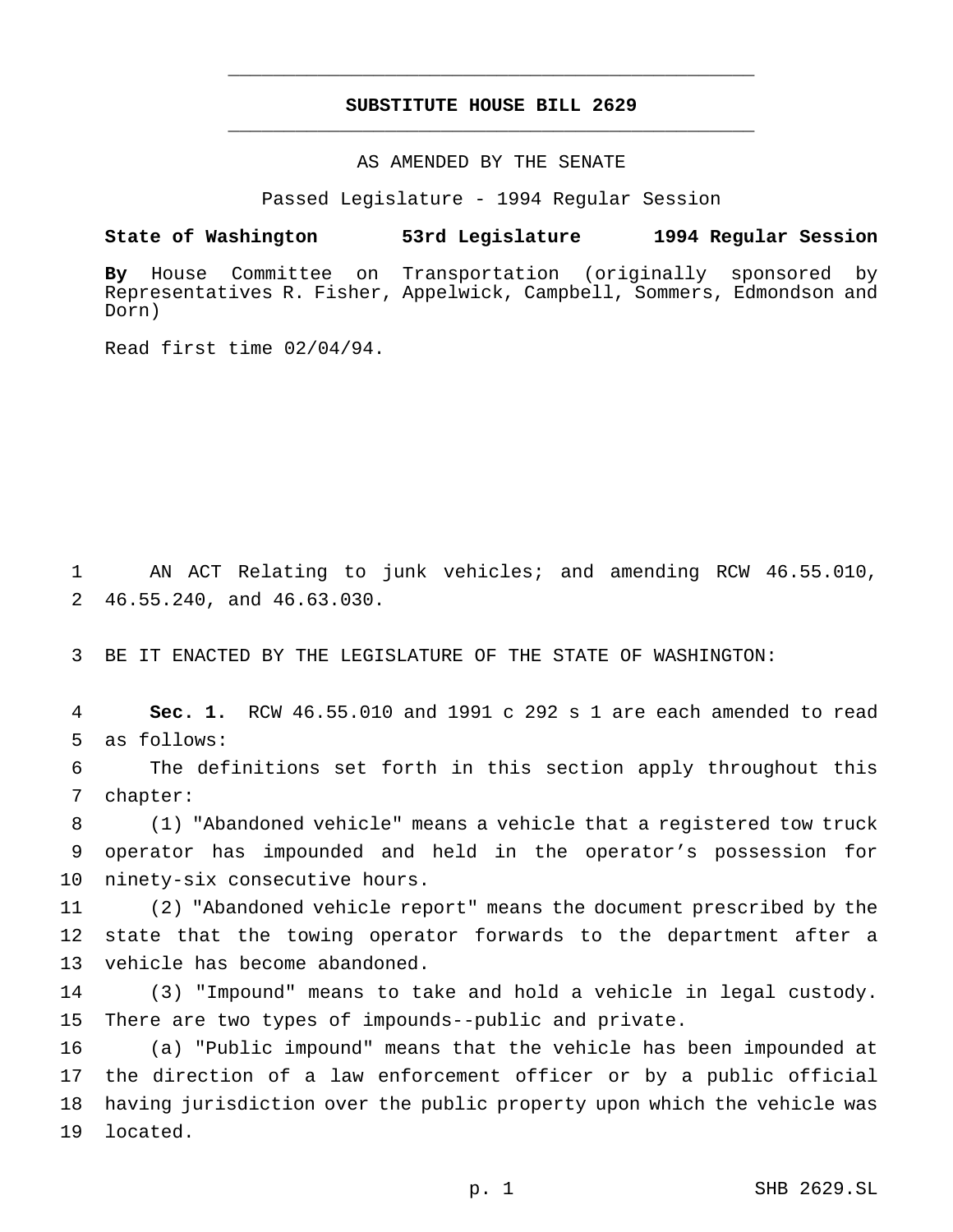## **SUBSTITUTE HOUSE BILL 2629** \_\_\_\_\_\_\_\_\_\_\_\_\_\_\_\_\_\_\_\_\_\_\_\_\_\_\_\_\_\_\_\_\_\_\_\_\_\_\_\_\_\_\_\_\_\_\_

\_\_\_\_\_\_\_\_\_\_\_\_\_\_\_\_\_\_\_\_\_\_\_\_\_\_\_\_\_\_\_\_\_\_\_\_\_\_\_\_\_\_\_\_\_\_\_

AS AMENDED BY THE SENATE

Passed Legislature - 1994 Regular Session

**State of Washington 53rd Legislature 1994 Regular Session**

**By** House Committee on Transportation (originally sponsored by Representatives R. Fisher, Appelwick, Campbell, Sommers, Edmondson and Dorn)

Read first time 02/04/94.

 AN ACT Relating to junk vehicles; and amending RCW 46.55.010, 46.55.240, and 46.63.030.

BE IT ENACTED BY THE LEGISLATURE OF THE STATE OF WASHINGTON:

 **Sec. 1.** RCW 46.55.010 and 1991 c 292 s 1 are each amended to read as follows:

 The definitions set forth in this section apply throughout this chapter:

 (1) "Abandoned vehicle" means a vehicle that a registered tow truck operator has impounded and held in the operator's possession for ninety-six consecutive hours.

 (2) "Abandoned vehicle report" means the document prescribed by the state that the towing operator forwards to the department after a vehicle has become abandoned.

 (3) "Impound" means to take and hold a vehicle in legal custody. There are two types of impounds--public and private.

 (a) "Public impound" means that the vehicle has been impounded at the direction of a law enforcement officer or by a public official having jurisdiction over the public property upon which the vehicle was located.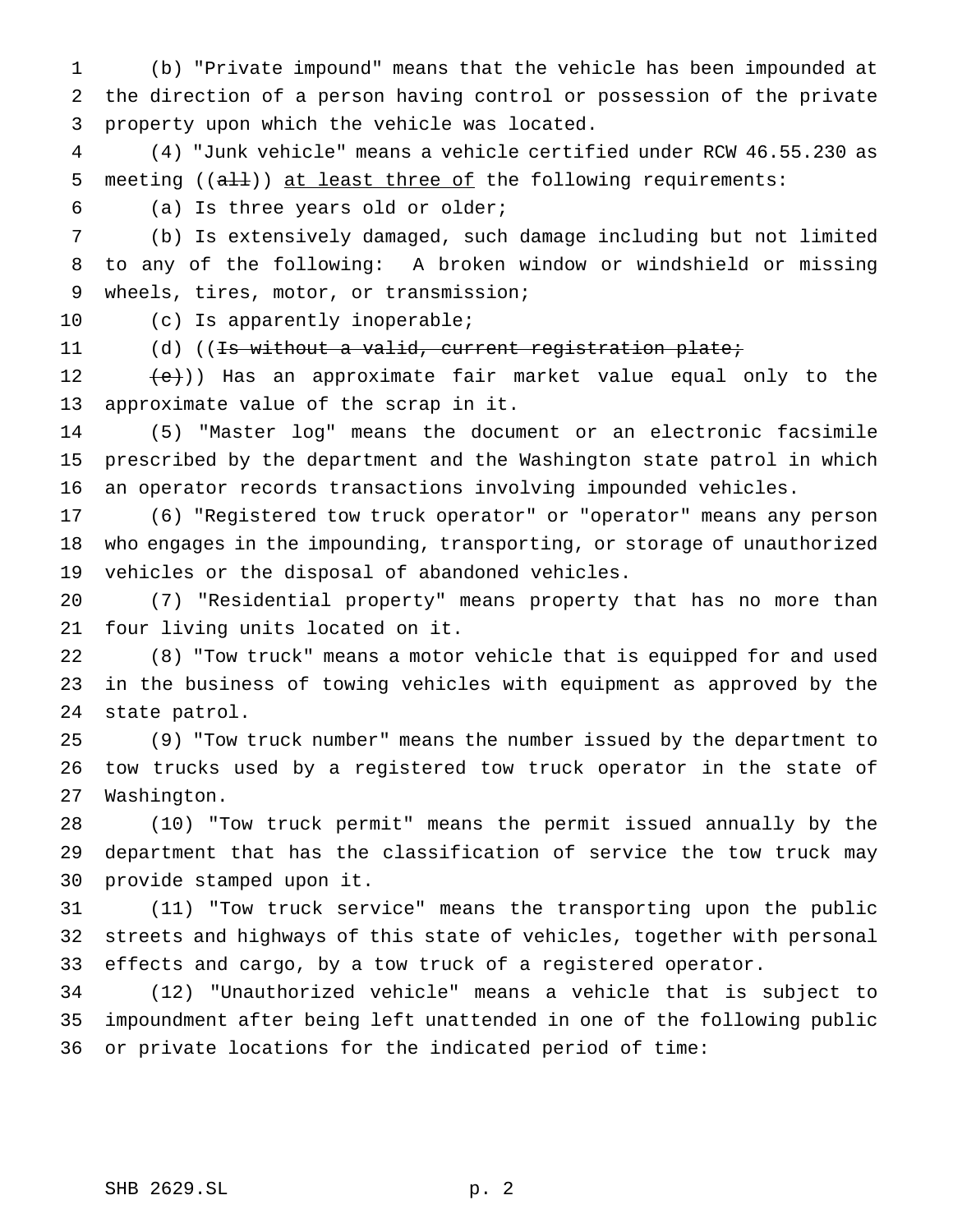(b) "Private impound" means that the vehicle has been impounded at the direction of a person having control or possession of the private property upon which the vehicle was located.

 (4) "Junk vehicle" means a vehicle certified under RCW 46.55.230 as 5 meeting ((all)) at least three of the following requirements:

(a) Is three years old or older;

 (b) Is extensively damaged, such damage including but not limited to any of the following: A broken window or windshield or missing wheels, tires, motor, or transmission;

10 (c) Is apparently inoperable;

11 (d) ((<del>Is without a valid, current registration plate;</del>

12 (e)) Has an approximate fair market value equal only to the approximate value of the scrap in it.

 (5) "Master log" means the document or an electronic facsimile prescribed by the department and the Washington state patrol in which an operator records transactions involving impounded vehicles.

 (6) "Registered tow truck operator" or "operator" means any person who engages in the impounding, transporting, or storage of unauthorized vehicles or the disposal of abandoned vehicles.

 (7) "Residential property" means property that has no more than four living units located on it.

 (8) "Tow truck" means a motor vehicle that is equipped for and used in the business of towing vehicles with equipment as approved by the state patrol.

 (9) "Tow truck number" means the number issued by the department to tow trucks used by a registered tow truck operator in the state of Washington.

 (10) "Tow truck permit" means the permit issued annually by the department that has the classification of service the tow truck may provide stamped upon it.

 (11) "Tow truck service" means the transporting upon the public streets and highways of this state of vehicles, together with personal effects and cargo, by a tow truck of a registered operator.

 (12) "Unauthorized vehicle" means a vehicle that is subject to impoundment after being left unattended in one of the following public or private locations for the indicated period of time: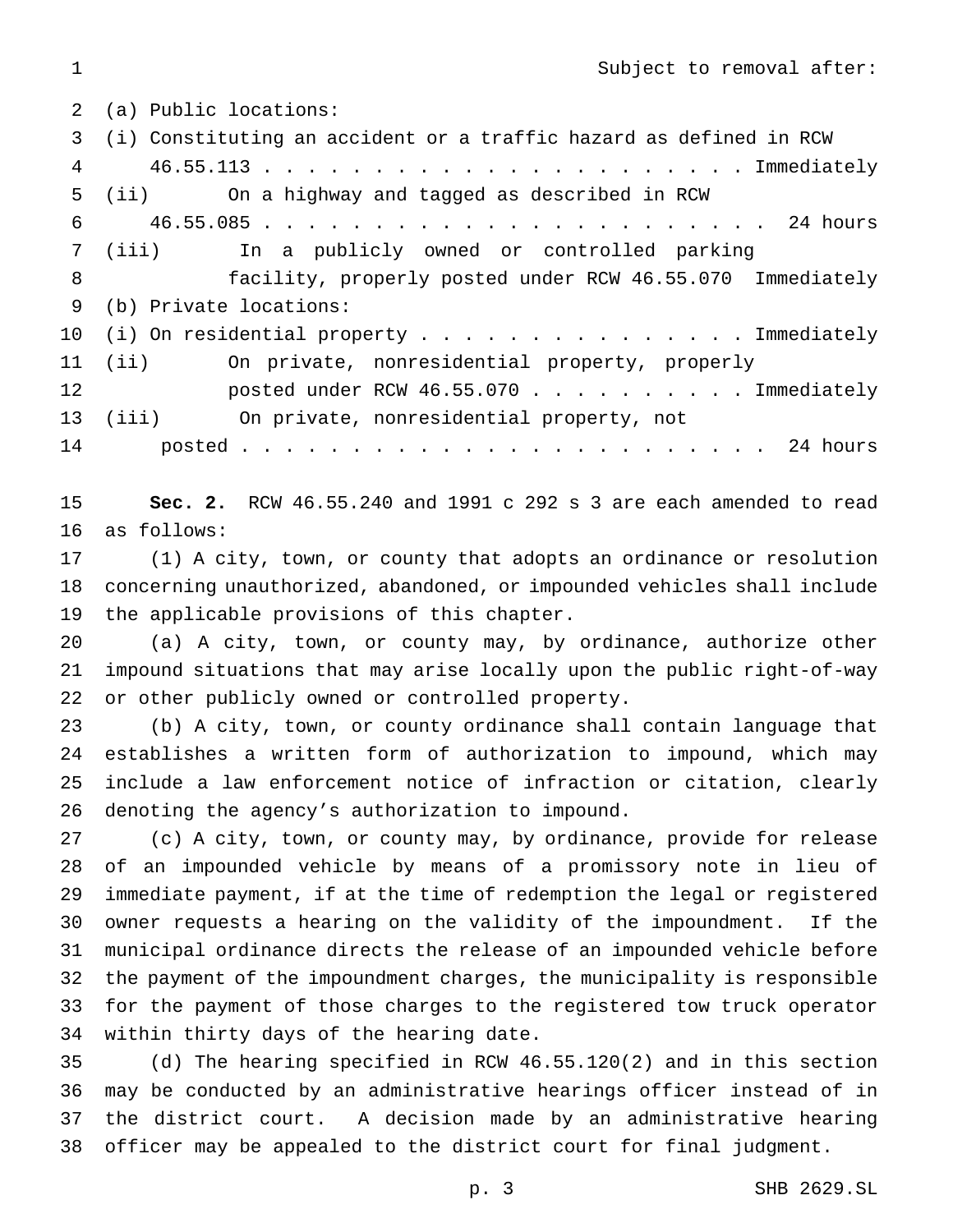Subject to removal after:

 (a) Public locations: (i) Constituting an accident or a traffic hazard as defined in RCW 46.55.113...................... Immediately (ii) On a highway and tagged as described in RCW 46.55.085 . . . . . . . . . . . . . . . . . . . . . . . 24 hours (iii) In a publicly owned or controlled parking facility, properly posted under RCW 46.55.070 Immediately (b) Private locations: 10 (i) On residential property . . . . . . . . . . . . . . Immediately (ii) On private, nonresidential property, properly **posted under RCW 46.55.070** . . . . . . . . . Immediately (iii) On private, nonresidential property, not posted . . . . . . . . . . . . . . . . . . . . . . . . 24 hours

 **Sec. 2.** RCW 46.55.240 and 1991 c 292 s 3 are each amended to read as follows:

 (1) A city, town, or county that adopts an ordinance or resolution concerning unauthorized, abandoned, or impounded vehicles shall include the applicable provisions of this chapter.

 (a) A city, town, or county may, by ordinance, authorize other impound situations that may arise locally upon the public right-of-way or other publicly owned or controlled property.

 (b) A city, town, or county ordinance shall contain language that establishes a written form of authorization to impound, which may include a law enforcement notice of infraction or citation, clearly denoting the agency's authorization to impound.

 (c) A city, town, or county may, by ordinance, provide for release of an impounded vehicle by means of a promissory note in lieu of immediate payment, if at the time of redemption the legal or registered owner requests a hearing on the validity of the impoundment. If the municipal ordinance directs the release of an impounded vehicle before the payment of the impoundment charges, the municipality is responsible for the payment of those charges to the registered tow truck operator within thirty days of the hearing date.

 (d) The hearing specified in RCW 46.55.120(2) and in this section may be conducted by an administrative hearings officer instead of in the district court. A decision made by an administrative hearing officer may be appealed to the district court for final judgment.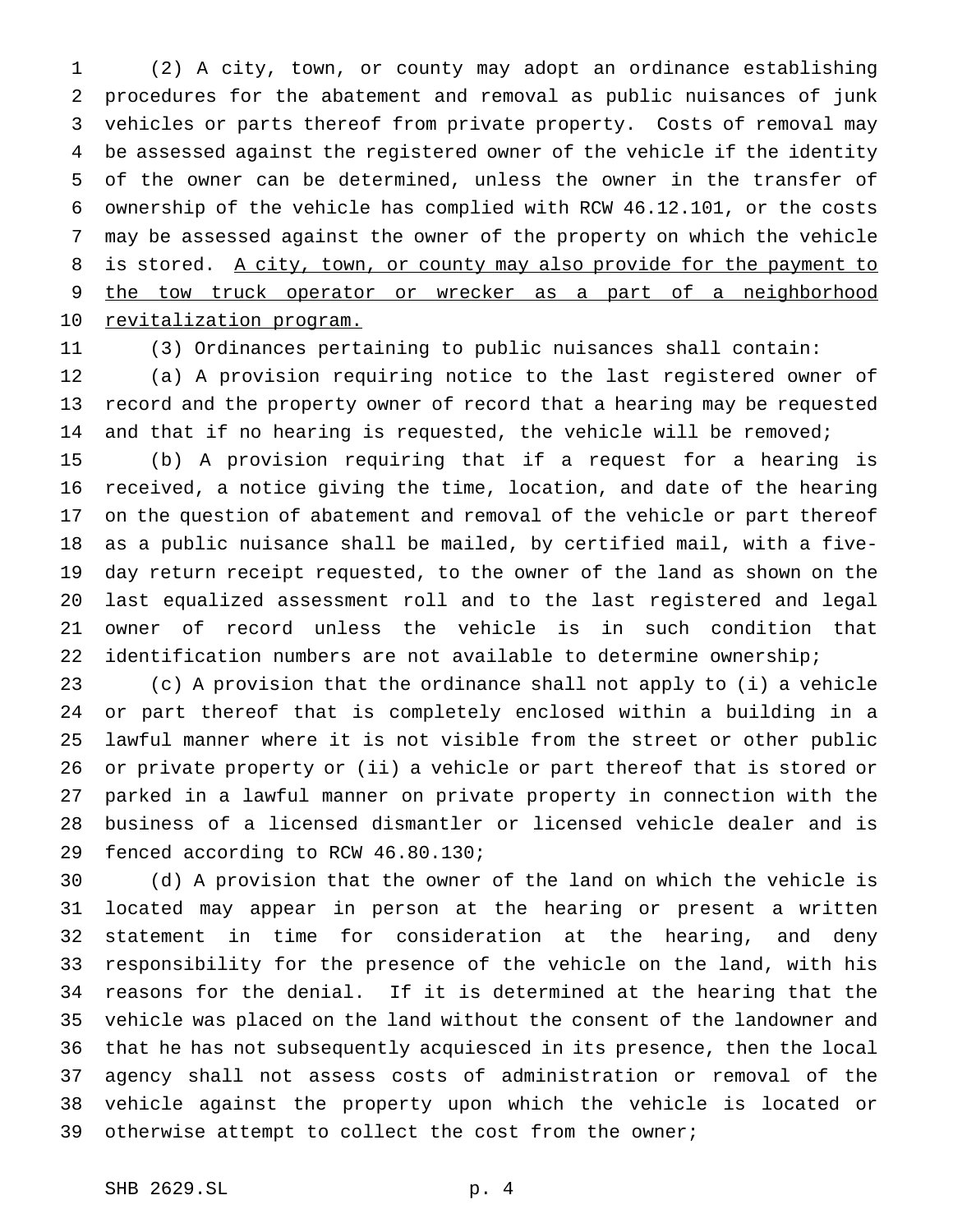(2) A city, town, or county may adopt an ordinance establishing procedures for the abatement and removal as public nuisances of junk vehicles or parts thereof from private property. Costs of removal may be assessed against the registered owner of the vehicle if the identity of the owner can be determined, unless the owner in the transfer of ownership of the vehicle has complied with RCW 46.12.101, or the costs may be assessed against the owner of the property on which the vehicle 8 is stored. A city, town, or county may also provide for the payment to the tow truck operator or wrecker as a part of a neighborhood 10 revitalization program.

(3) Ordinances pertaining to public nuisances shall contain:

 (a) A provision requiring notice to the last registered owner of record and the property owner of record that a hearing may be requested 14 and that if no hearing is requested, the vehicle will be removed;

 (b) A provision requiring that if a request for a hearing is received, a notice giving the time, location, and date of the hearing on the question of abatement and removal of the vehicle or part thereof as a public nuisance shall be mailed, by certified mail, with a five- day return receipt requested, to the owner of the land as shown on the last equalized assessment roll and to the last registered and legal owner of record unless the vehicle is in such condition that 22 identification numbers are not available to determine ownership;

 (c) A provision that the ordinance shall not apply to (i) a vehicle or part thereof that is completely enclosed within a building in a lawful manner where it is not visible from the street or other public or private property or (ii) a vehicle or part thereof that is stored or parked in a lawful manner on private property in connection with the business of a licensed dismantler or licensed vehicle dealer and is fenced according to RCW 46.80.130;

 (d) A provision that the owner of the land on which the vehicle is located may appear in person at the hearing or present a written statement in time for consideration at the hearing, and deny responsibility for the presence of the vehicle on the land, with his reasons for the denial. If it is determined at the hearing that the vehicle was placed on the land without the consent of the landowner and that he has not subsequently acquiesced in its presence, then the local agency shall not assess costs of administration or removal of the vehicle against the property upon which the vehicle is located or otherwise attempt to collect the cost from the owner;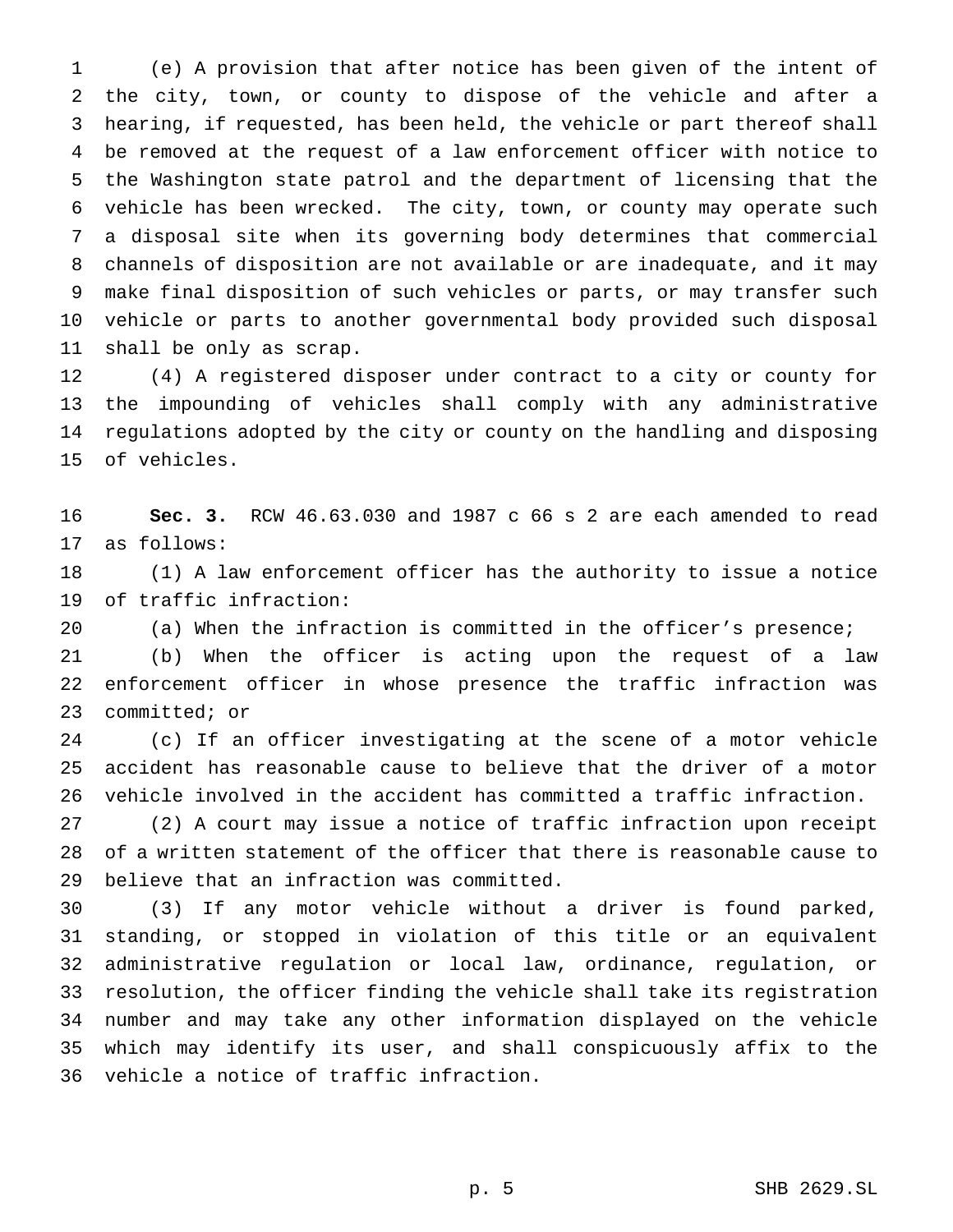(e) A provision that after notice has been given of the intent of the city, town, or county to dispose of the vehicle and after a hearing, if requested, has been held, the vehicle or part thereof shall be removed at the request of a law enforcement officer with notice to the Washington state patrol and the department of licensing that the vehicle has been wrecked. The city, town, or county may operate such a disposal site when its governing body determines that commercial channels of disposition are not available or are inadequate, and it may make final disposition of such vehicles or parts, or may transfer such vehicle or parts to another governmental body provided such disposal shall be only as scrap.

 (4) A registered disposer under contract to a city or county for the impounding of vehicles shall comply with any administrative regulations adopted by the city or county on the handling and disposing of vehicles.

 **Sec. 3.** RCW 46.63.030 and 1987 c 66 s 2 are each amended to read as follows:

 (1) A law enforcement officer has the authority to issue a notice of traffic infraction:

(a) When the infraction is committed in the officer's presence;

 (b) When the officer is acting upon the request of a law enforcement officer in whose presence the traffic infraction was committed; or

 (c) If an officer investigating at the scene of a motor vehicle accident has reasonable cause to believe that the driver of a motor vehicle involved in the accident has committed a traffic infraction.

 (2) A court may issue a notice of traffic infraction upon receipt of a written statement of the officer that there is reasonable cause to believe that an infraction was committed.

 (3) If any motor vehicle without a driver is found parked, standing, or stopped in violation of this title or an equivalent administrative regulation or local law, ordinance, regulation, or resolution, the officer finding the vehicle shall take its registration number and may take any other information displayed on the vehicle which may identify its user, and shall conspicuously affix to the vehicle a notice of traffic infraction.